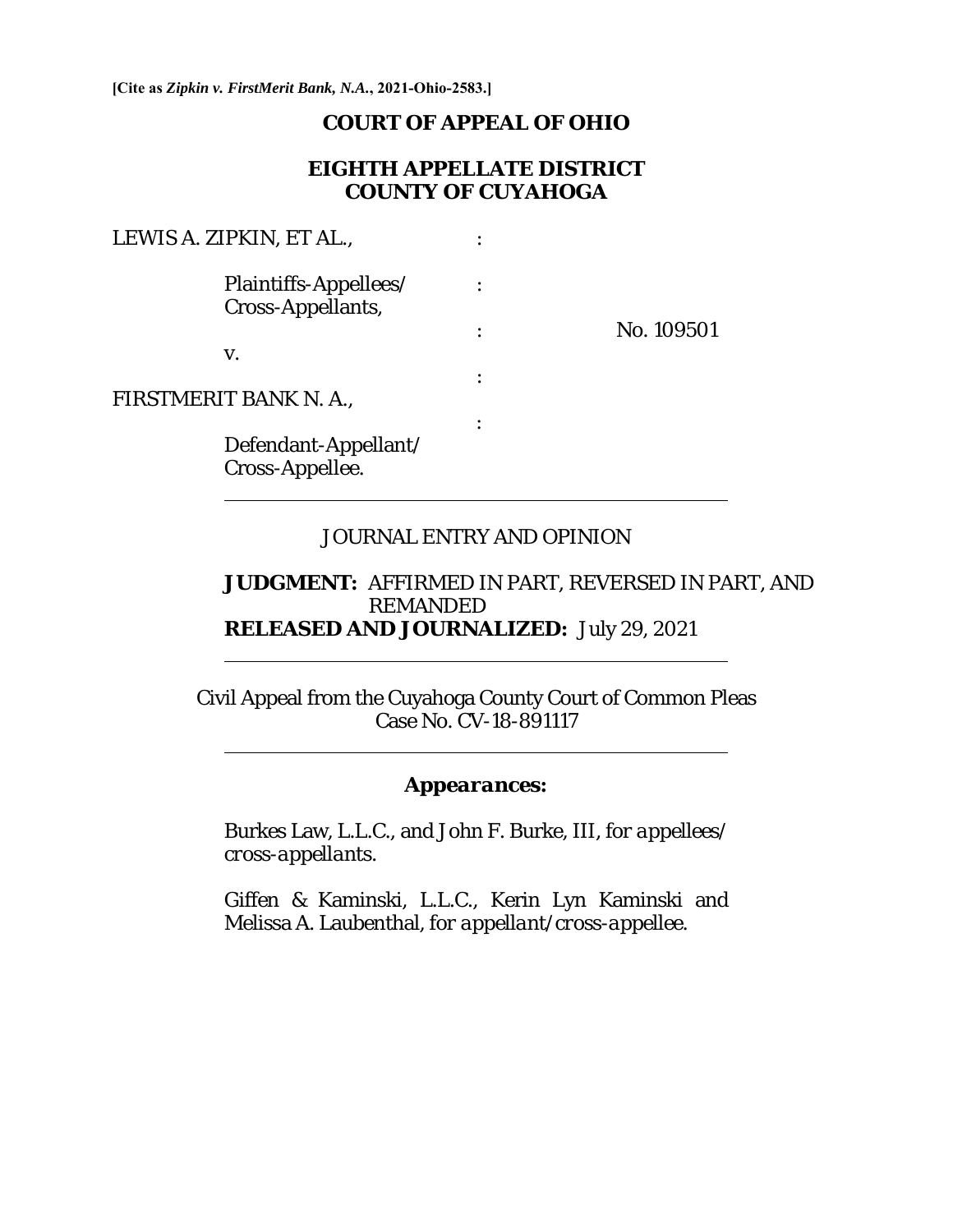**[Cite as** *Zipkin v. FirstMerit Bank, N.A.***, 2021-Ohio-2583.]**

 $\overline{a}$ 

 $\overline{a}$ 

 $\overline{a}$ 

#### **COURT OF APPEAL OF OHIO**

### **EIGHTH APPELLATE DISTRICT COUNTY OF CUYAHOGA**

| LEWIS A. ZIPKIN, ET AL.,                   |            |
|--------------------------------------------|------------|
| Plaintiffs-Appellees/<br>Cross-Appellants, |            |
|                                            | No. 109501 |
| V.                                         |            |
| FIRSTMERIT BANK N. A.,                     |            |
| Defendant-Appellant/<br>Cross-Appellee.    |            |

#### JOURNAL ENTRY AND OPINION

#### **JUDGMENT:** AFFIRMED IN PART, REVERSED IN PART, AND REMANDED **RELEASED AND JOURNALIZED:** July 29, 2021

Civil Appeal from the Cuyahoga County Court of Common Pleas Case No. CV-18-891117

#### *Appearances:*

Burkes Law, L.L.C., and John F. Burke, III, *for appellees/ cross-appellant*s.

Giffen & Kaminski, L.L.C., Kerin Lyn Kaminski and Melissa A. Laubenthal, *for appellant/cross-appellee*.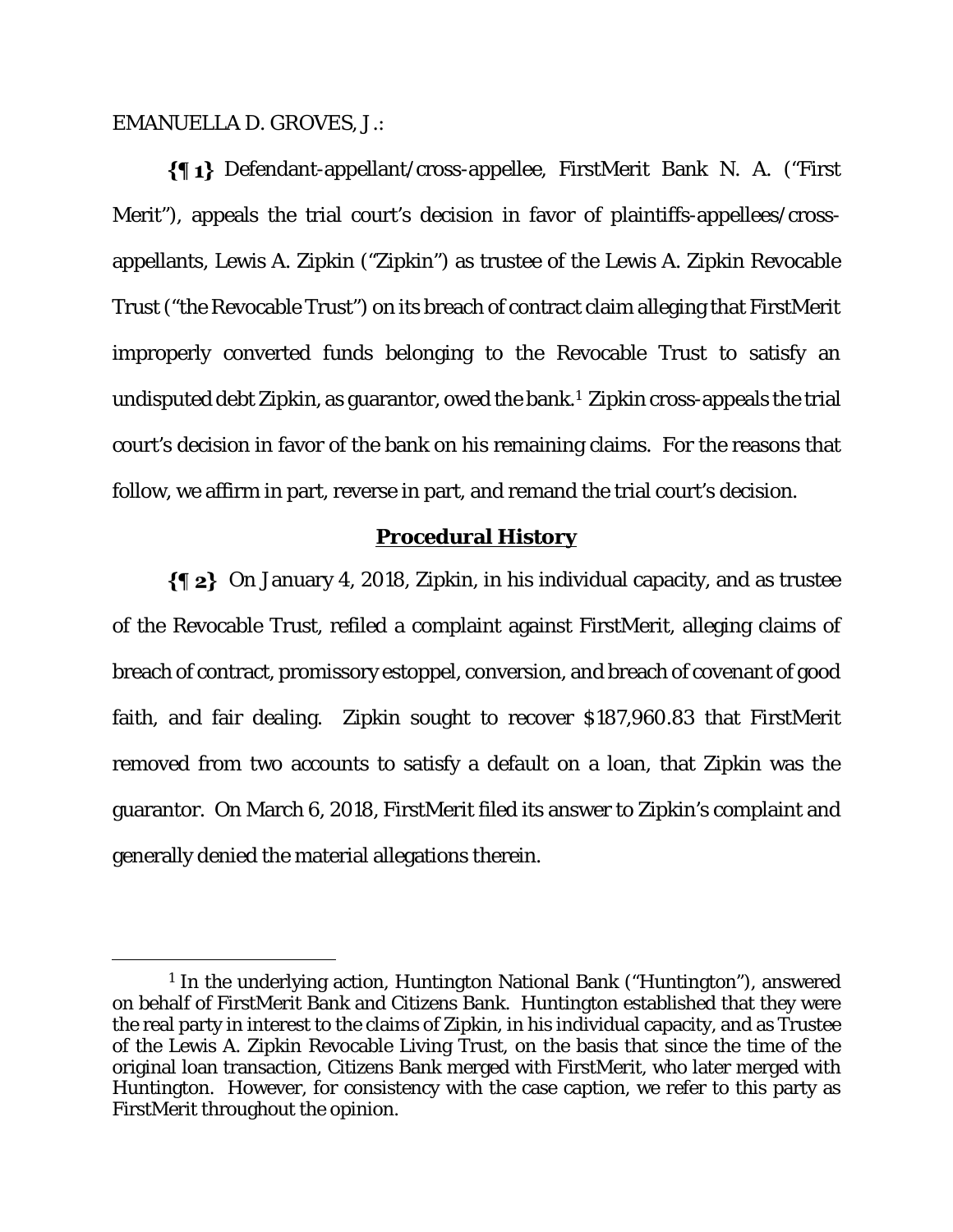EMANUELLA D. GROVES, J.:

Defendant-appellant/cross-appellee, FirstMerit Bank N. A. ("First Merit"), appeals the trial court's decision in favor of plaintiffs-appellees/crossappellants, Lewis A. Zipkin ("Zipkin") as trustee of the Lewis A. Zipkin Revocable Trust ("the Revocable Trust") on its breach of contract claim alleging that FirstMerit improperly converted funds belonging to the Revocable Trust to satisfy an undisputed debt Zipkin, as guarantor, owed the bank.1 Zipkin cross-appeals the trial court's decision in favor of the bank on his remaining claims. For the reasons that follow, we affirm in part, reverse in part, and remand the trial court's decision.

#### **Procedural History**

 On January 4, 2018, Zipkin, in his individual capacity, and as trustee of the Revocable Trust, refiled a complaint against FirstMerit, alleging claims of breach of contract, promissory estoppel, conversion, and breach of covenant of good faith, and fair dealing. Zipkin sought to recover \$187,960.83 that FirstMerit removed from two accounts to satisfy a default on a loan, that Zipkin was the guarantor. On March 6, 2018, FirstMerit filed its answer to Zipkin's complaint and generally denied the material allegations therein.

<sup>1</sup> In the underlying action, Huntington National Bank ("Huntington"), answered on behalf of FirstMerit Bank and Citizens Bank. Huntington established that they were the real party in interest to the claims of Zipkin, in his individual capacity, and as Trustee of the Lewis A. Zipkin Revocable Living Trust, on the basis that since the time of the original loan transaction, Citizens Bank merged with FirstMerit, who later merged with Huntington. However, for consistency with the case caption, we refer to this party as FirstMerit throughout the opinion.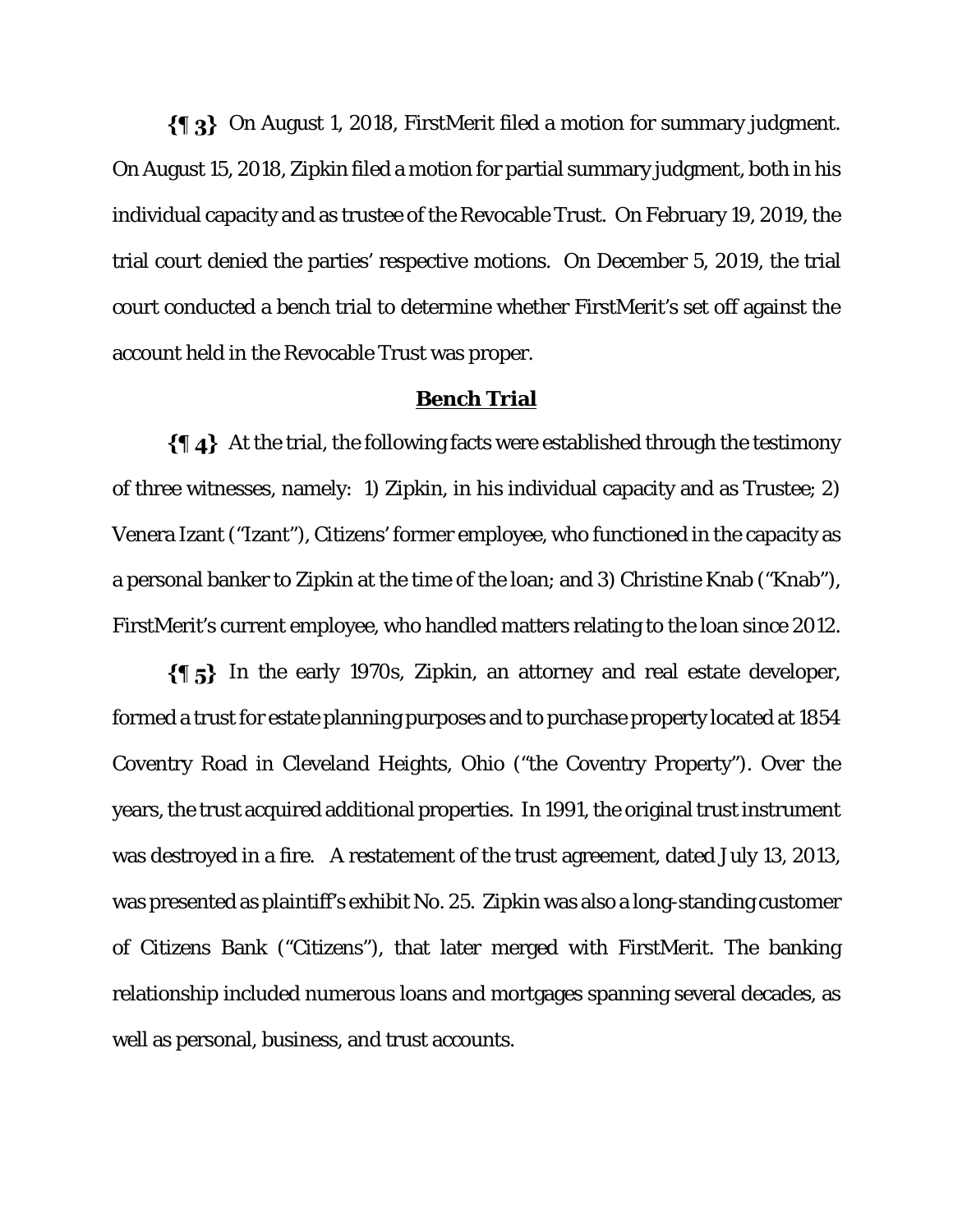$\{\P_3\}$  On August 1, 2018, FirstMerit filed a motion for summary judgment. On August 15, 2018, Zipkin filed a motion for partial summary judgment, both in his individual capacity and as trustee of the Revocable Trust. On February 19, 2019, the trial court denied the parties' respective motions. On December 5, 2019, the trial court conducted a bench trial to determine whether FirstMerit's set off against the account held in the Revocable Trust was proper.

#### **Bench Trial**

 At the trial, the following facts were established through the testimony of three witnesses, namely: 1) Zipkin, in his individual capacity and as Trustee; 2) Venera Izant ("Izant"), Citizens' former employee, who functioned in the capacity as a personal banker to Zipkin at the time of the loan; and 3) Christine Knab ("Knab"), FirstMerit's current employee, who handled matters relating to the loan since 2012.

 $\{\P_5\}$  In the early 1970s, Zipkin, an attorney and real estate developer, formed a trust for estate planning purposes and to purchase property located at 1854 Coventry Road in Cleveland Heights, Ohio ("the Coventry Property"). Over the years, the trust acquired additional properties. In 1991, the original trust instrument was destroyed in a fire. A restatement of the trust agreement, dated July 13, 2013, was presented as plaintiff's exhibit No. 25. Zipkin was also a long-standing customer of Citizens Bank ("Citizens"), that later merged with FirstMerit. The banking relationship included numerous loans and mortgages spanning several decades, as well as personal, business, and trust accounts.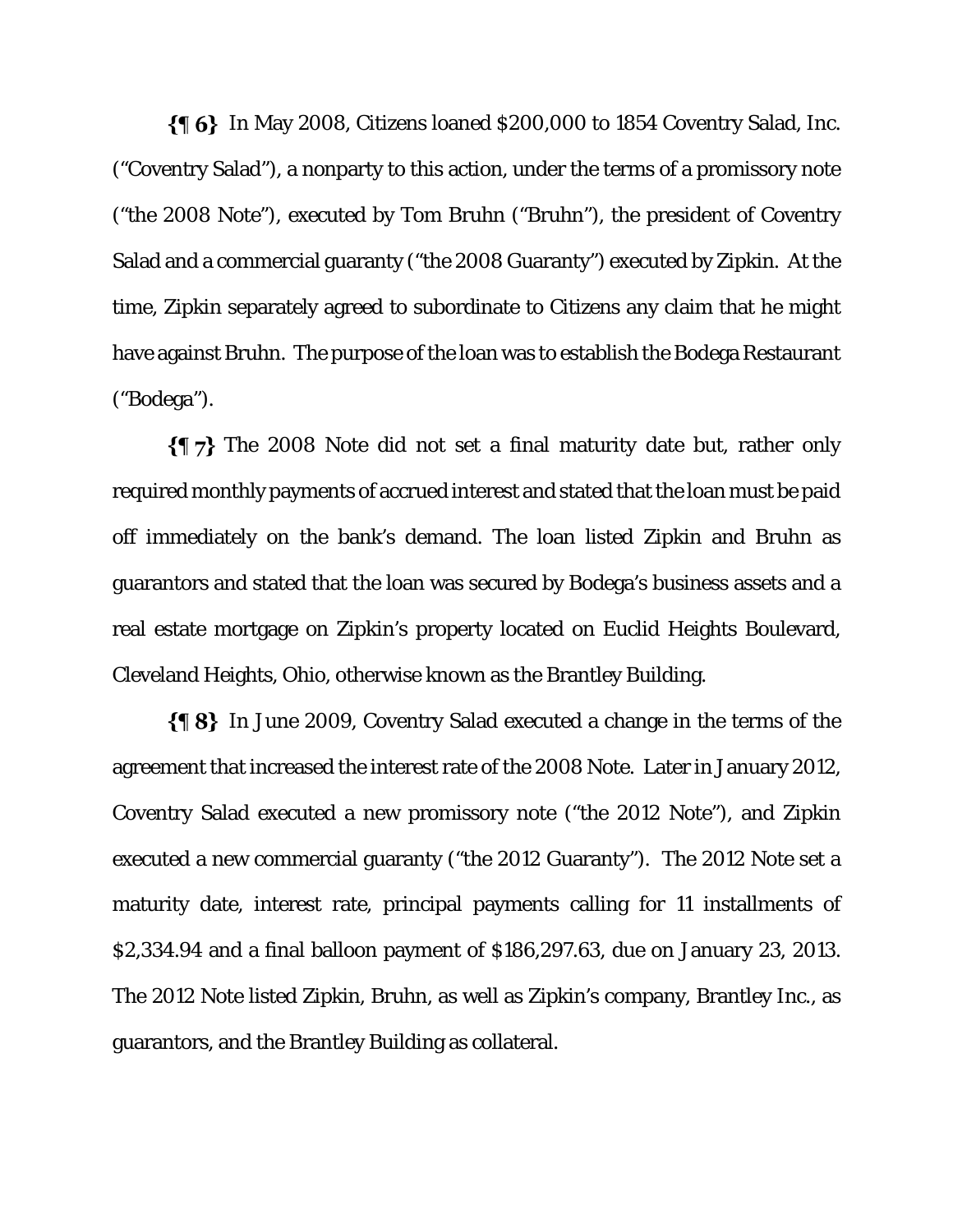$\{\P\ 6\}$  In May 2008, Citizens loaned \$200,000 to 1854 Coventry Salad, Inc. ("Coventry Salad"), a nonparty to this action, under the terms of a promissory note ("the 2008 Note"), executed by Tom Bruhn ("Bruhn"), the president of Coventry Salad and a commercial guaranty ("the 2008 Guaranty") executed by Zipkin. At the time, Zipkin separately agreed to subordinate to Citizens any claim that he might have against Bruhn. The purpose of the loan was to establish the Bodega Restaurant ("Bodega").

 $\{\P\}$  The 2008 Note did not set a final maturity date but, rather only required monthly payments of accrued interest and stated that the loan must be paid off immediately on the bank's demand. The loan listed Zipkin and Bruhn as guarantors and stated that the loan was secured by Bodega's business assets and a real estate mortgage on Zipkin's property located on Euclid Heights Boulevard, Cleveland Heights, Ohio, otherwise known as the Brantley Building.

 $\{\P 8\}$  In June 2009, Coventry Salad executed a change in the terms of the agreement that increased the interest rate of the 2008 Note. Later in January 2012, Coventry Salad executed a new promissory note ("the 2012 Note"), and Zipkin executed a new commercial guaranty ("the 2012 Guaranty"). The 2012 Note set a maturity date, interest rate, principal payments calling for 11 installments of \$2,334.94 and a final balloon payment of \$186,297.63, due on January 23, 2013. The 2012 Note listed Zipkin, Bruhn, as well as Zipkin's company, Brantley Inc., as guarantors, and the Brantley Building as collateral.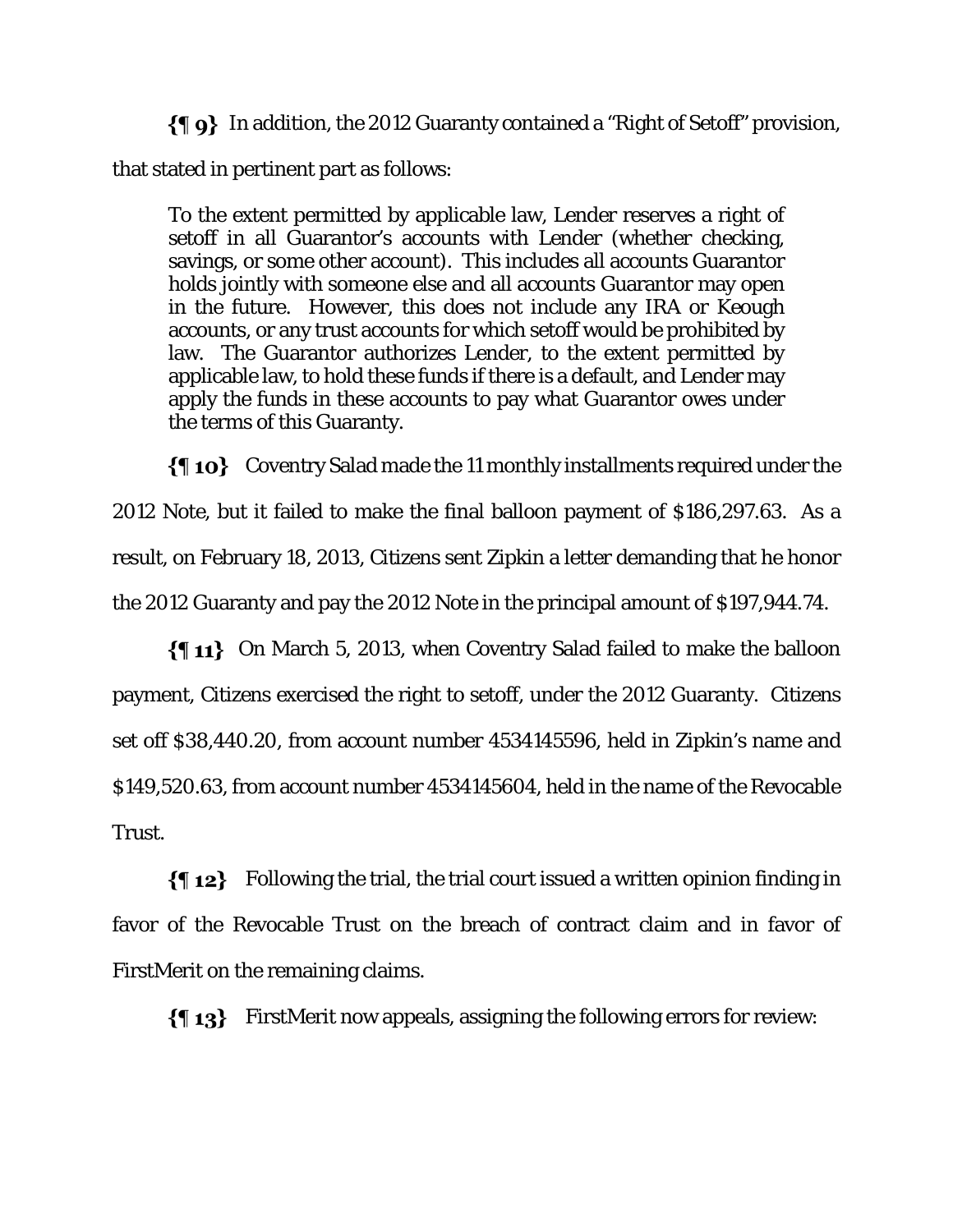In addition, the 2012 Guaranty contained a "Right of Setoff" provision, that stated in pertinent part as follows:

To the extent permitted by applicable law, Lender reserves a right of setoff in all Guarantor's accounts with Lender (whether checking, savings, or some other account). This includes all accounts Guarantor holds jointly with someone else and all accounts Guarantor may open in the future. However, this does not include any IRA or Keough accounts, or any trust accounts for which setoff would be prohibited by law. The Guarantor authorizes Lender, to the extent permitted by applicable law, to hold these funds if there is a default, and Lender may apply the funds in these accounts to pay what Guarantor owes under the terms of this Guaranty.

 $\{\P$  10} Coventry Salad made the 11 monthly installments required under the 2012 Note, but it failed to make the final balloon payment of \$186,297.63. As a result, on February 18, 2013, Citizens sent Zipkin a letter demanding that he honor the 2012 Guaranty and pay the 2012 Note in the principal amount of \$197,944.74.

 On March 5, 2013, when Coventry Salad failed to make the balloon payment, Citizens exercised the right to setoff, under the 2012 Guaranty. Citizens set off \$38,440.20, from account number 4534145596, held in Zipkin's name and \$149,520.63, from account number 4534145604, held in the name of the Revocable Trust.

 $\{\P 12\}$  Following the trial, the trial court issued a written opinion finding in favor of the Revocable Trust on the breach of contract claim and in favor of FirstMerit on the remaining claims.

FirstMerit now appeals, assigning the following errors for review: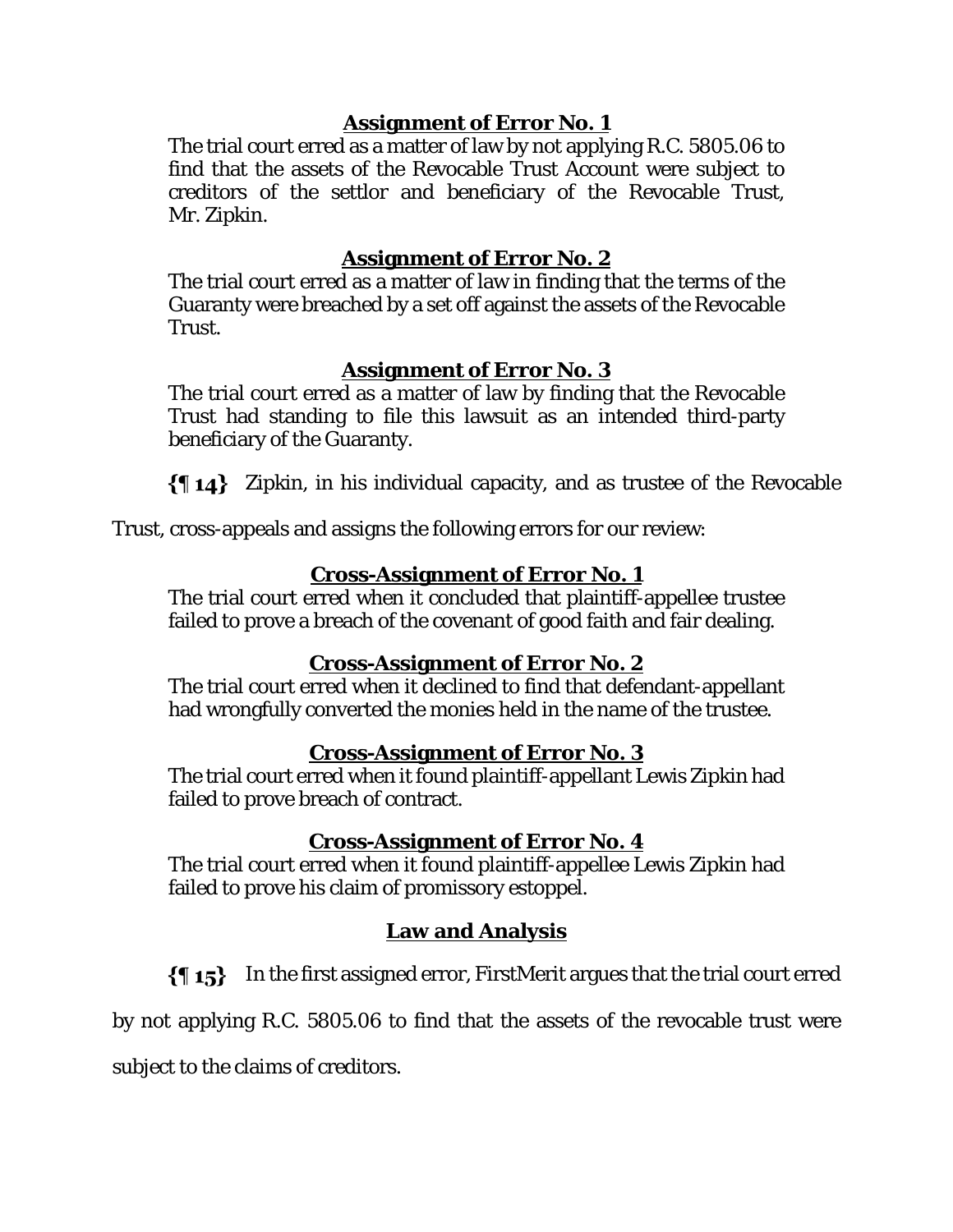# **Assignment of Error No. 1**

The trial court erred as a matter of law by not applying R.C. 5805.06 to find that the assets of the Revocable Trust Account were subject to creditors of the settlor and beneficiary of the Revocable Trust, Mr. Zipkin.

# **Assignment of Error No. 2**

The trial court erred as a matter of law in finding that the terms of the Guaranty were breached by a set off against the assets of the Revocable Trust.

# **Assignment of Error No. 3**

The trial court erred as a matter of law by finding that the Revocable Trust had standing to file this lawsuit as an intended third-party beneficiary of the Guaranty.

Zipkin, in his individual capacity, and as trustee of the Revocable

Trust, cross-appeals and assigns the following errors for our review:

# **Cross-Assignment of Error No. 1**

The trial court erred when it concluded that plaintiff-appellee trustee failed to prove a breach of the covenant of good faith and fair dealing.

# **Cross-Assignment of Error No. 2**

The trial court erred when it declined to find that defendant-appellant had wrongfully converted the monies held in the name of the trustee.

# **Cross-Assignment of Error No. 3**

The trial court erred when it found plaintiff-appellant Lewis Zipkin had failed to prove breach of contract.

# **Cross-Assignment of Error No. 4**

The trial court erred when it found plaintiff-appellee Lewis Zipkin had failed to prove his claim of promissory estoppel.

# **Law and Analysis**

 $\{\P 15\}$  In the first assigned error, FirstMerit argues that the trial court erred

by not applying R.C. 5805.06 to find that the assets of the revocable trust were

subject to the claims of creditors.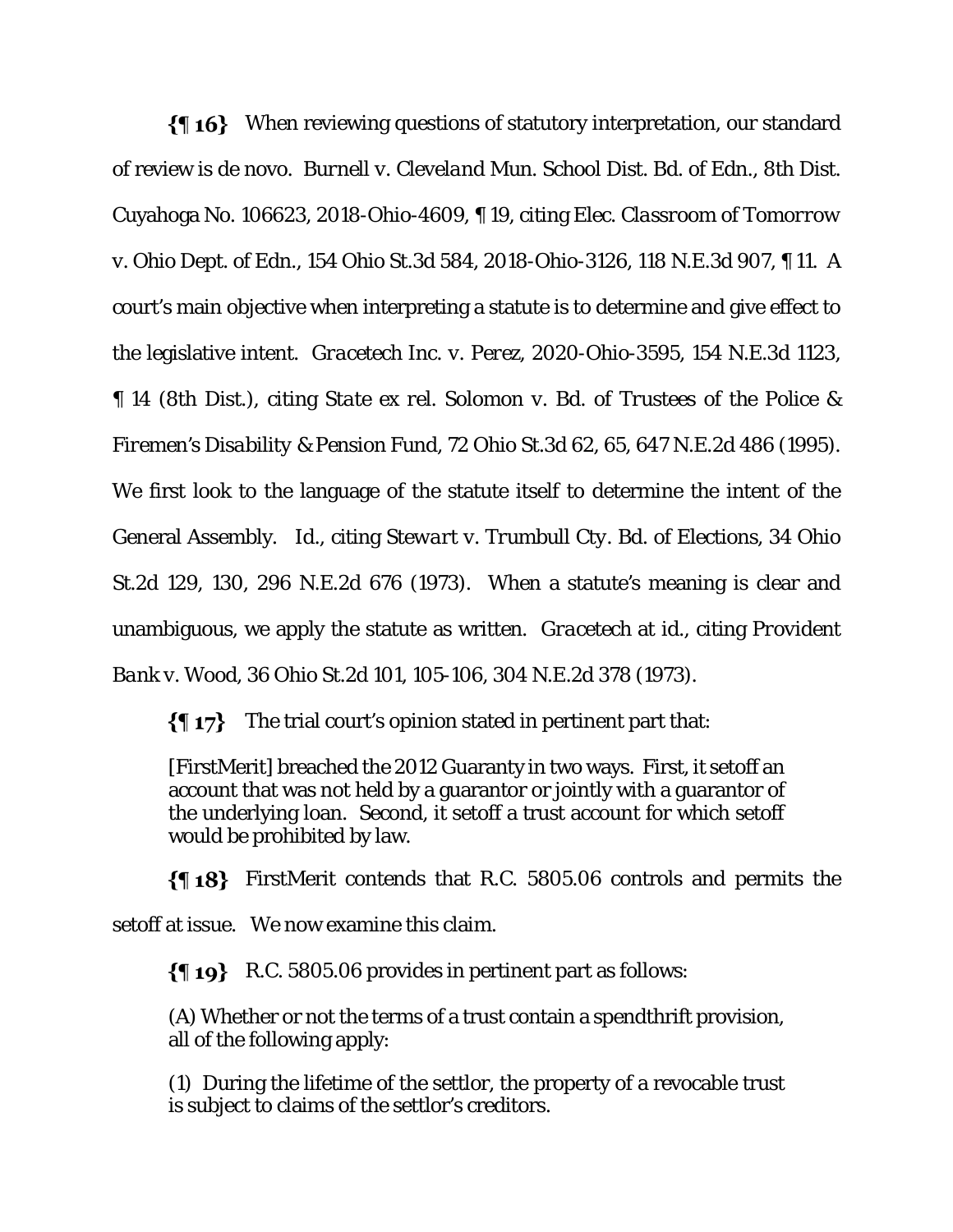When reviewing questions of statutory interpretation, our standard of review is de novo. *Burnell v. Cleveland Mun. School Dist. Bd. of Edn.*, 8th Dist. Cuyahoga No. 106623, 2018-Ohio-4609, ¶ 19, citing *Elec. Classroom of Tomorrow v. Ohio Dept. of Edn.*, 154 Ohio St.3d 584, 2018-Ohio-3126, 118 N.E.3d 907, ¶ 11. A court's main objective when interpreting a statute is to determine and give effect to the legislative intent. *Gracetech Inc. v. Perez*, 2020-Ohio-3595, 154 N.E.3d 1123, ¶ 14 (8th Dist.), citing *State ex rel. Solomon v. Bd. of Trustees of the Police & Firemen's Disability & Pension Fund*, 72 Ohio St.3d 62, 65, 647 N.E.2d 486 (1995). We first look to the language of the statute itself to determine the intent of the General Assembly. *Id*., citing *Stewart v. Trumbull Cty. Bd. of Elections*, 34 Ohio St.2d 129, 130, 296 N.E.2d 676 (1973). When a statute*'*s meaning is clear and unambiguous, we apply the statute as written. *Gracetech* at *id*., citing *Provident Bank v. Wood*, 36 Ohio St.2d 101, 105-106, 304 N.E.2d 378 (1973).

 $\{\P 17\}$  The trial court's opinion stated in pertinent part that:

[FirstMerit] breached the 2012 Guaranty in two ways. First, it setoff an account that was not held by a guarantor or jointly with a guarantor of the underlying loan. Second, it setoff a trust account for which setoff would be prohibited by law.

FirstMerit contends that R.C. 5805.06 controls and permits the setoff at issue. We now examine this claim.

R.C. 5805.06 provides in pertinent part as follows:

(A) Whether or not the terms of a trust contain a spendthrift provision, all of the following apply:

(1) During the lifetime of the settlor, the property of a revocable trust is subject to claims of the settlor's creditors.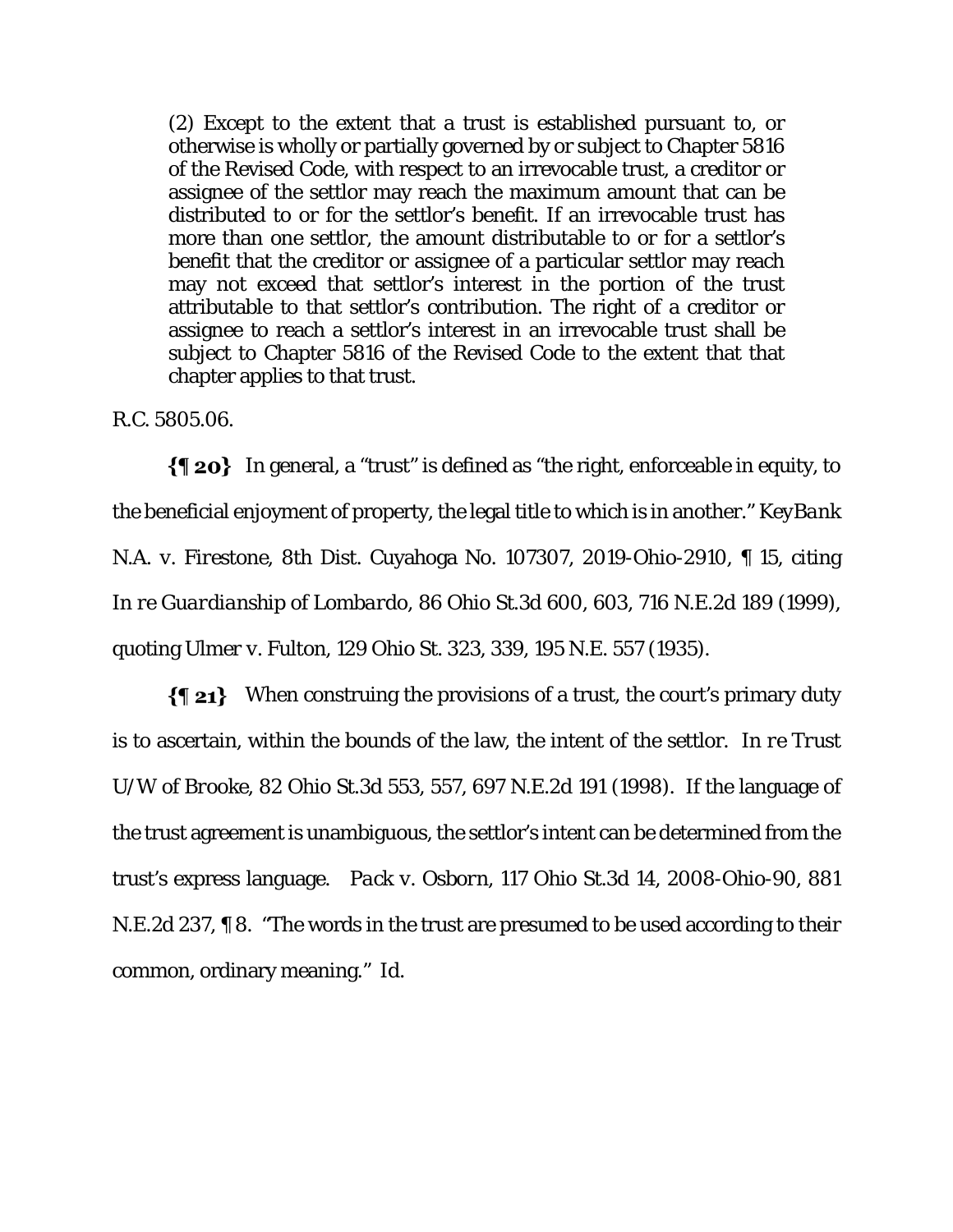(2) Except to the extent that a trust is established pursuant to, or otherwise is wholly or partially governed by or subject to Chapter 5816 of the Revised Code, with respect to an irrevocable trust, a creditor or assignee of the settlor may reach the maximum amount that can be distributed to or for the settlor's benefit. If an irrevocable trust has more than one settlor, the amount distributable to or for a settlor's benefit that the creditor or assignee of a particular settlor may reach may not exceed that settlor's interest in the portion of the trust attributable to that settlor's contribution. The right of a creditor or assignee to reach a settlor's interest in an irrevocable trust shall be subject to Chapter 5816 of the Revised Code to the extent that that chapter applies to that trust.

R.C. 5805.06.

 $\{\P$  20} In general, a "trust" is defined as "the right, enforceable in equity, to the beneficial enjoyment of property, the legal title to which is in another." *KeyBank N.A. v. Firestone*, 8th Dist. Cuyahoga No. 107307, 2019-Ohio-2910, ¶ 15, citing *In re Guardianship of Lombardo*, 86 Ohio St.3d 600, 603, 716 N.E.2d 189 (1999), quoting *Ulmer v. Fulton*, 129 Ohio St. 323, 339, 195 N.E. 557 (1935).

 $\{\P 21\}$  When construing the provisions of a trust, the court's primary duty is to ascertain, within the bounds of the law, the intent of the settlor. *In re Trust U/W of Brooke*, 82 Ohio St.3d 553, 557, 697 N.E.2d 191 (1998). If the language of the trust agreement is unambiguous, the settlor's intent can be determined from the trust's express language. *Pack v. Osborn*, 117 Ohio St.3d 14, 2008-Ohio-90, 881 N.E.2d 237, ¶ 8. "The words in the trust are presumed to be used according to their common, ordinary meaning." *Id*.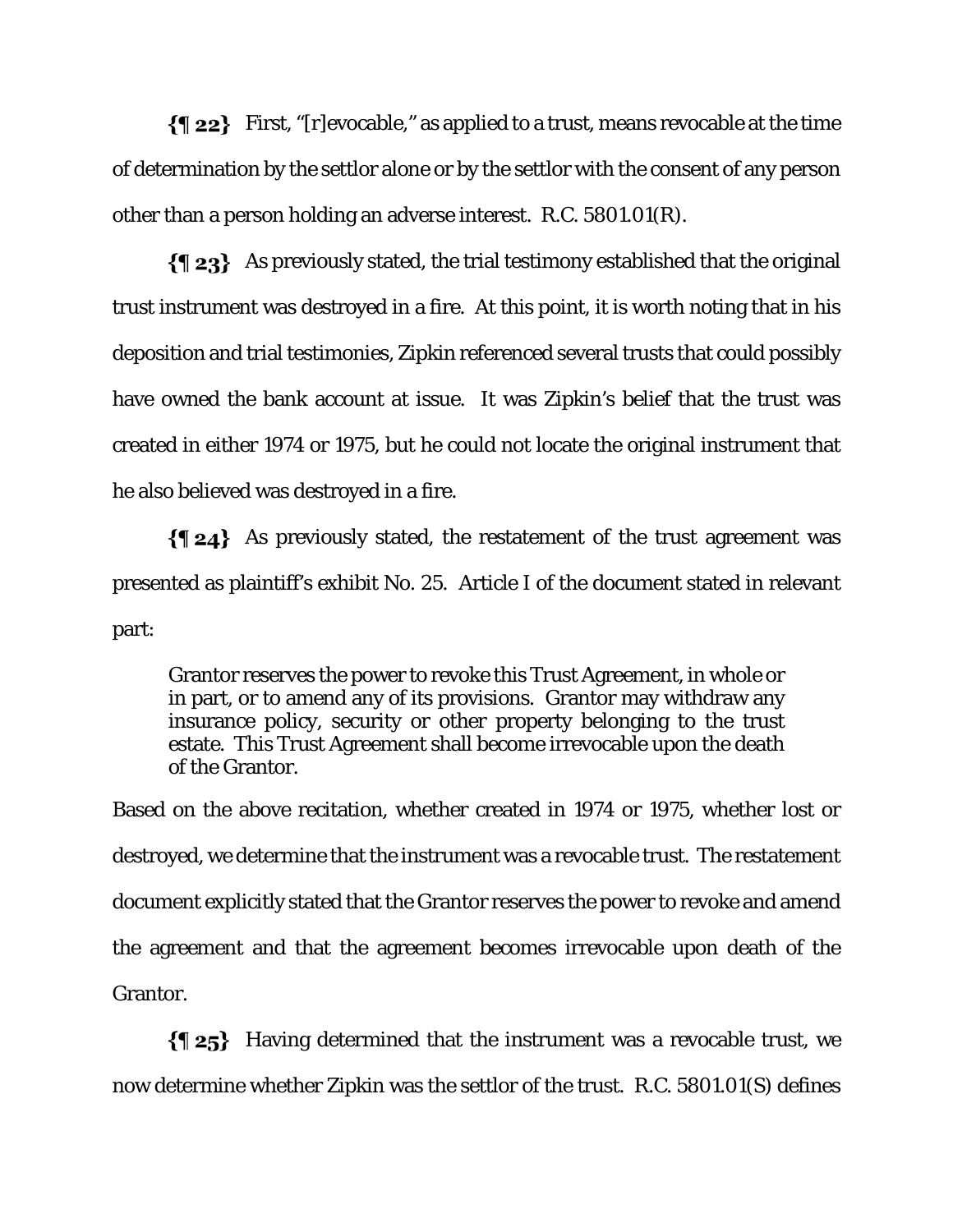$\{\P 22\}$  First, "[r]evocable," as applied to a trust, means revocable at the time of determination by the settlor alone or by the settlor with the consent of any person other than a person holding an adverse interest. R.C. 5801.01(R).

 $\{\P_2\}$  As previously stated, the trial testimony established that the original trust instrument was destroyed in a fire. At this point, it is worth noting that in his deposition and trial testimonies, Zipkin referenced several trusts that could possibly have owned the bank account at issue. It was Zipkin's belief that the trust was created in either 1974 or 1975, but he could not locate the original instrument that he also believed was destroyed in a fire.

As previously stated, the restatement of the trust agreement was presented as plaintiff's exhibit No. 25. Article I of the document stated in relevant part:

Grantor reserves the power to revoke this Trust Agreement, in whole or in part, or to amend any of its provisions. Grantor may withdraw any insurance policy, security or other property belonging to the trust estate. This Trust Agreement shall become irrevocable upon the death of the Grantor.

Based on the above recitation, whether created in 1974 or 1975, whether lost or destroyed, we determine that the instrument was a revocable trust. The restatement document explicitly stated that the Grantor reserves the power to revoke and amend the agreement and that the agreement becomes irrevocable upon death of the Grantor.

 $\{\$\;25\}$  Having determined that the instrument was a revocable trust, we now determine whether Zipkin was the settlor of the trust. R.C. 5801.01(S) defines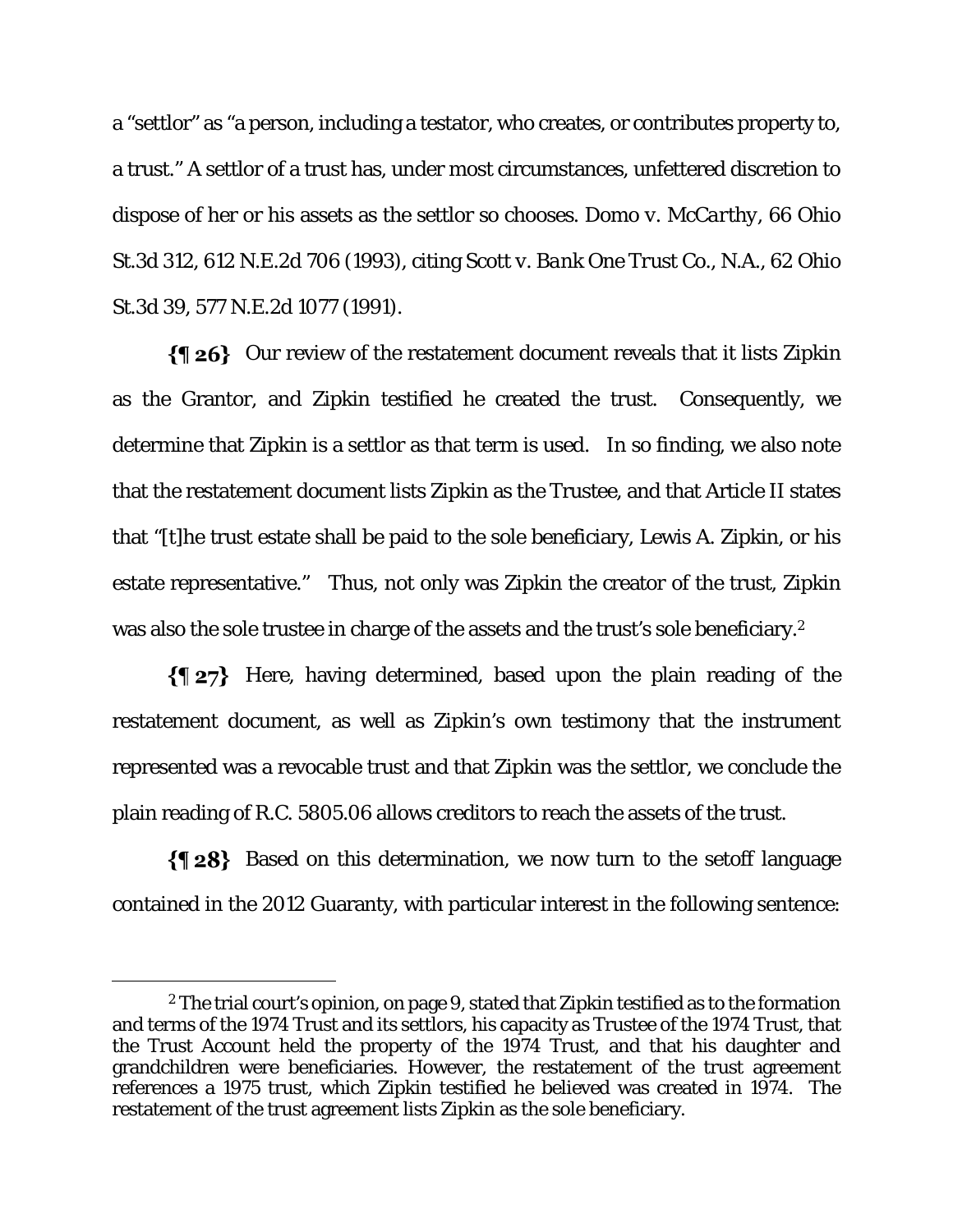a "settlor" as "a person, including a testator, who creates, or contributes property to, a trust." A settlor of a trust has, under most circumstances, unfettered discretion to dispose of her or his assets as the settlor so chooses. *Domo v. McCarthy*, 66 Ohio St.3d 312, 612 N.E.2d 706 (1993), citing *Scott v. Bank One Trust Co., N.A.,* 62 Ohio St.3d 39, 577 N.E.2d 1077 (1991).

 $\{\P 26\}$  Our review of the restatement document reveals that it lists Zipkin as the Grantor, and Zipkin testified he created the trust. Consequently, we determine that Zipkin is a settlor as that term is used. In so finding, we also note that the restatement document lists Zipkin as the Trustee, and that Article II states that "[t]he trust estate shall be paid to the sole beneficiary, Lewis A. Zipkin, or his estate representative." Thus, not only was Zipkin the creator of the trust, Zipkin was also the sole trustee in charge of the assets and the trust's sole beneficiary.2

 $\{\P 27\}$  Here, having determined, based upon the plain reading of the restatement document, as well as Zipkin's own testimony that the instrument represented was a revocable trust and that Zipkin was the settlor, we conclude the plain reading of R.C. 5805.06 allows creditors to reach the assets of the trust.

 $\{\P 28\}$  Based on this determination, we now turn to the setoff language contained in the 2012 Guaranty, with particular interest in the following sentence:

<sup>&</sup>lt;sup>2</sup> The trial court's opinion, on page 9, stated that Zipkin testified as to the formation and terms of the 1974 Trust and its settlors, his capacity as Trustee of the 1974 Trust, that the Trust Account held the property of the 1974 Trust, and that his daughter and grandchildren were beneficiaries. However, the restatement of the trust agreement references a 1975 trust, which Zipkin testified he believed was created in 1974. The restatement of the trust agreement lists Zipkin as the sole beneficiary.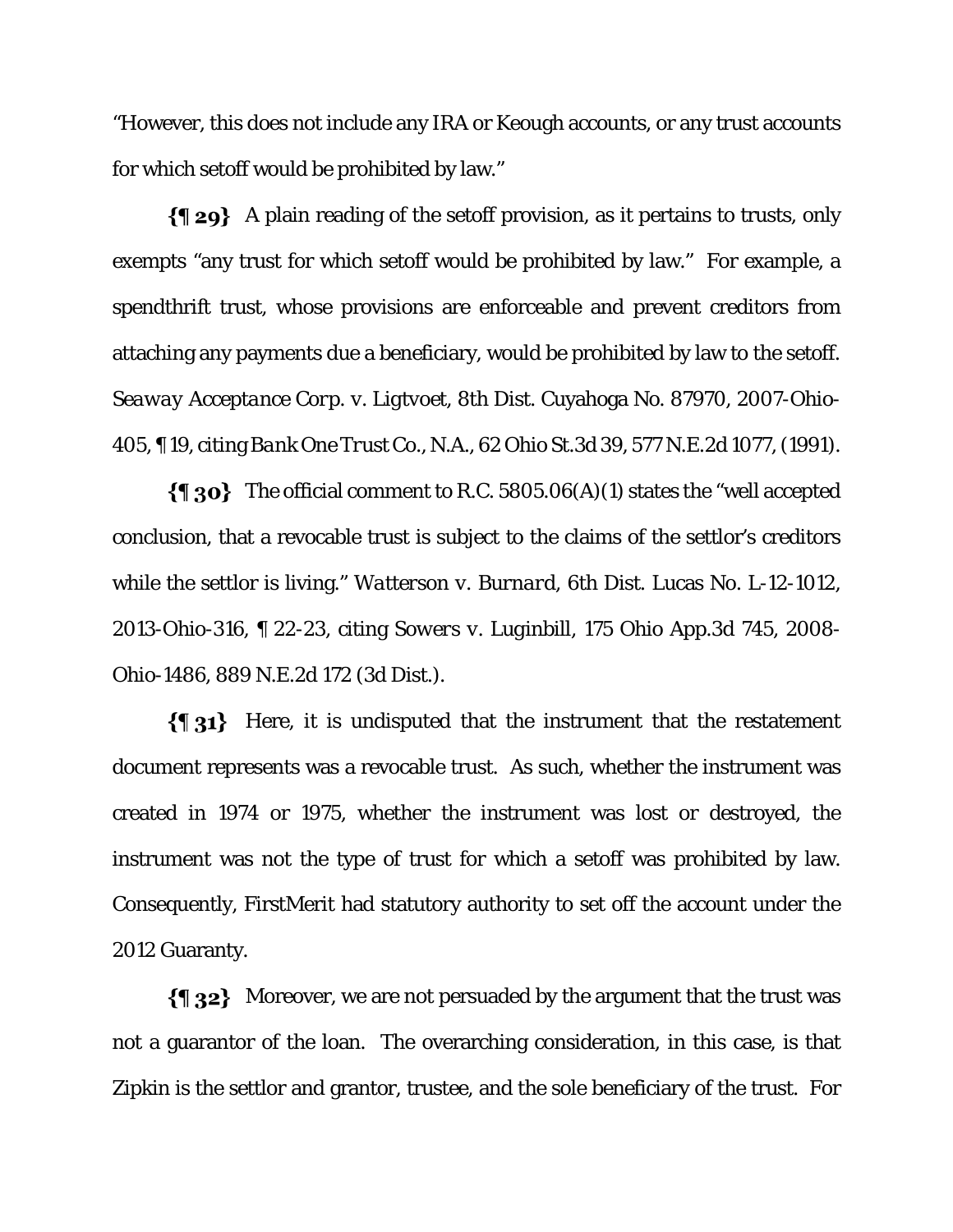"However, this does not include any IRA or Keough accounts, or any trust accounts for which setoff would be prohibited by law."

 $\{\P_2\}$  A plain reading of the setoff provision, as it pertains to trusts, only exempts "any trust for which setoff would be prohibited by law." For example, a spendthrift trust, whose provisions are enforceable and prevent creditors from attaching any payments due a beneficiary, would be prohibited by law to the setoff. *Seaway Acceptance Corp. v. Ligtvoet*, 8th Dist. Cuyahoga No. 87970, 2007-Ohio-405, ¶ 19, citing *Bank One Trust Co., N.A.*, 62 Ohio St.3d 39, 577 N.E.2d 1077, (1991).

 $\{\P$  30} The official comment to R.C. 5805.06(A)(1) states the "well accepted conclusion, that a revocable trust is subject to the claims of the settlor's creditors while the settlor is living." *Watterson v. Burnard*, 6th Dist. Lucas No. L-12-1012, 2013-Ohio-316, ¶ 22-23, citing *Sowers v. Luginbill*, 175 Ohio App.3d 745, 2008- Ohio-1486, 889 N.E.2d 172 (3d Dist.).

 $\{\P_31\}$  Here, it is undisputed that the instrument that the restatement document represents was a revocable trust. As such, whether the instrument was created in 1974 or 1975, whether the instrument was lost or destroyed, the instrument was not the type of trust for which a setoff was prohibited by law. Consequently, FirstMerit had statutory authority to set off the account under the 2012 Guaranty.

 $\{\P$  32} Moreover, we are not persuaded by the argument that the trust was not a guarantor of the loan. The overarching consideration, in this case, is that Zipkin is the settlor and grantor, trustee, and the sole beneficiary of the trust. For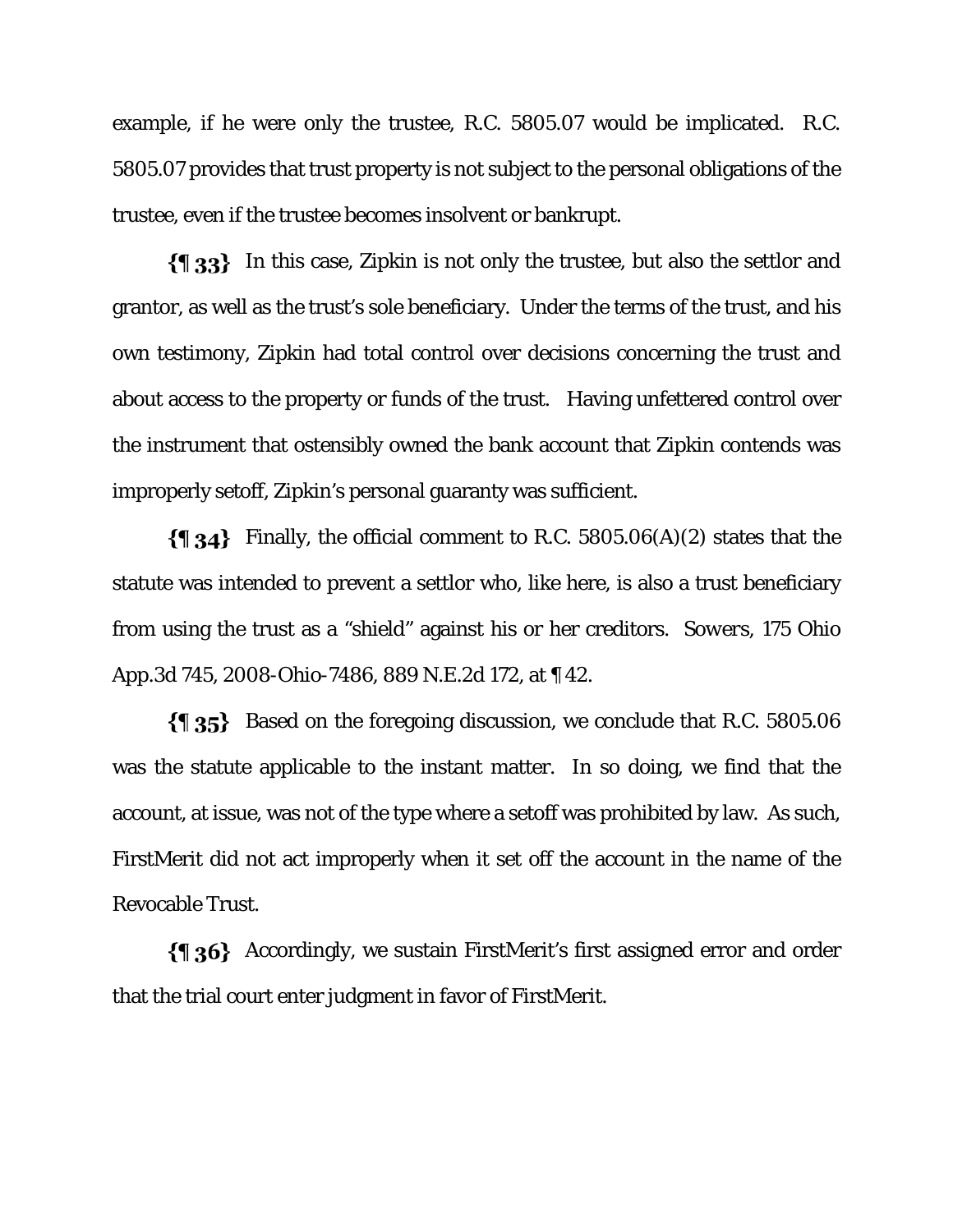example, if he were only the trustee, R.C. 5805.07 would be implicated. R.C. 5805.07 provides that trust property is not subject to the personal obligations of the trustee, even if the trustee becomes insolvent or bankrupt.

 $\{\{\}\$  33} In this case, Zipkin is not only the trustee, but also the settlor and grantor, as well as the trust's sole beneficiary. Under the terms of the trust, and his own testimony, Zipkin had total control over decisions concerning the trust and about access to the property or funds of the trust. Having unfettered control over the instrument that ostensibly owned the bank account that Zipkin contends was improperly setoff, Zipkin's personal guaranty was sufficient.

 $\{\{\}\$  34} Finally, the official comment to R.C. 5805.06(A)(2) states that the statute was intended to prevent a settlor who, like here, is also a trust beneficiary from using the trust as a "shield" against his or her creditors. *Sowers*, 175 Ohio App.3d 745, 2008-Ohio-7486, 889 N.E.2d 172, at ¶ 42.

Based on the foregoing discussion, we conclude that R.C. 5805.06 was the statute applicable to the instant matter. In so doing, we find that the account, at issue, was not of the type where a setoff was prohibited by law. As such, FirstMerit did not act improperly when it set off the account in the name of the Revocable Trust.

Accordingly, we sustain FirstMerit's first assigned error and order that the trial court enter judgment in favor of FirstMerit.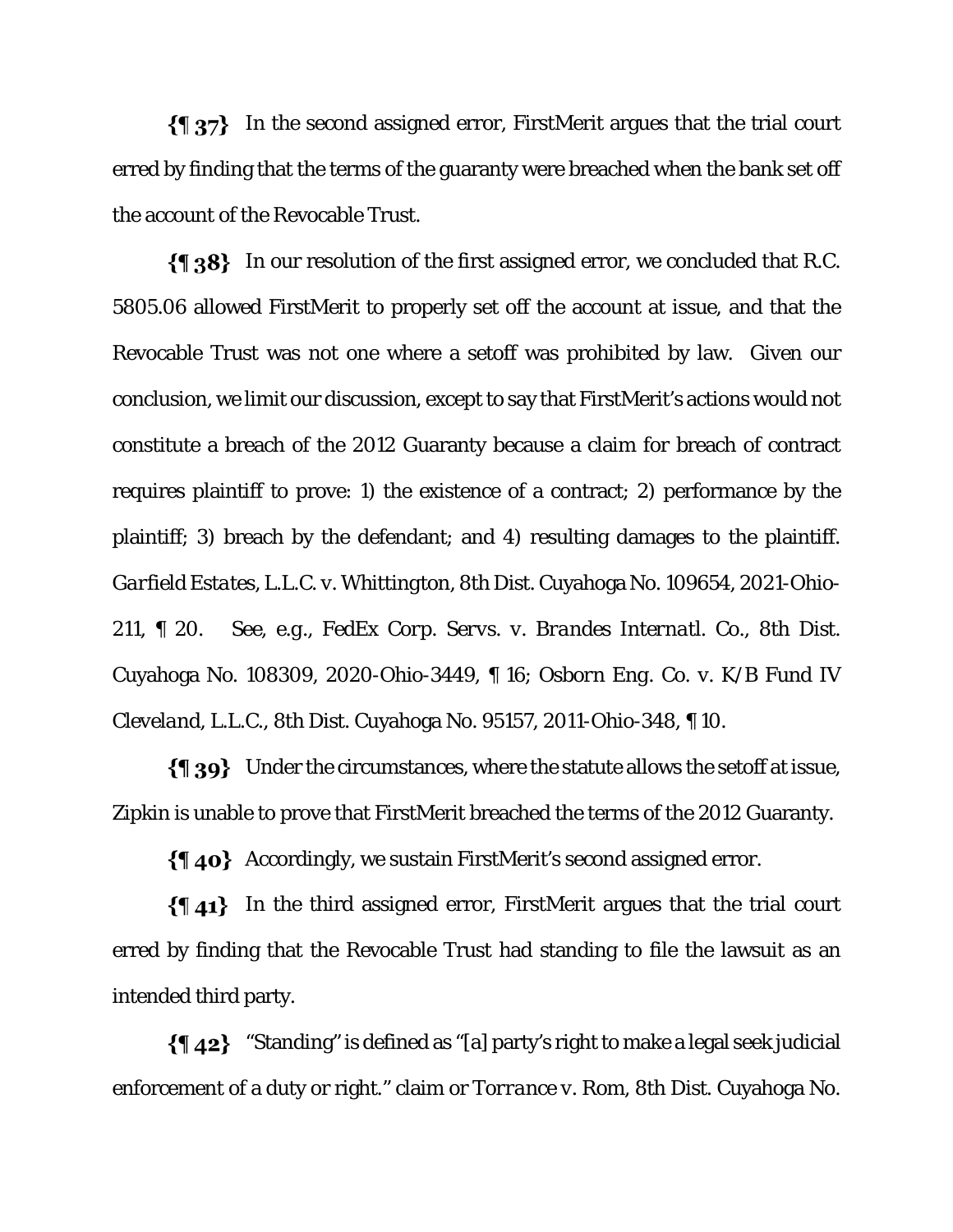$\{\P\}$  In the second assigned error, FirstMerit argues that the trial court erred by finding that the terms of the guaranty were breached when the bank set off the account of the Revocable Trust.

 $\{\{\}\$  38} In our resolution of the first assigned error, we concluded that R.C. 5805.06 allowed FirstMerit to properly set off the account at issue, and that the Revocable Trust was not one where a setoff was prohibited by law. Given our conclusion, we limit our discussion, except to say that FirstMerit's actions would not constitute a breach of the 2012 Guaranty because a claim for breach of contract requires plaintiff to prove: 1) the existence of a contract; 2) performance by the plaintiff; 3) breach by the defendant; and 4) resulting damages to the plaintiff. *Garfield Estates, L.L.C. v. Whittington*, 8th Dist. Cuyahoga No. 109654, 2021-Ohio-211, ¶ 20. *See, e.g., FedEx Corp. Servs. v. Brandes Internatl.* Co., 8th Dist. Cuyahoga No. 108309, 2020-Ohio-3449, ¶ 16; *Osborn Eng. Co. v. K/B Fund IV Cleveland, L.L.C.*, 8th Dist. Cuyahoga No. 95157, 2011-Ohio-348, ¶ 10.

 $\{\P$  39} Under the circumstances, where the statute allows the setoff at issue, Zipkin is unable to prove that FirstMerit breached the terms of the 2012 Guaranty.

 $\{\P$  40} Accordingly, we sustain FirstMerit's second assigned error.

 $\{\$\ 41\}$  In the third assigned error, FirstMerit argues that the trial court erred by finding that the Revocable Trust had standing to file the lawsuit as an intended third party.

 $\{\P_4\}$  "Standing" is defined as "[a] party's right to make a legal seek judicial enforcement of a duty or right." claim or *Torrance v. Rom*, 8th Dist. Cuyahoga No.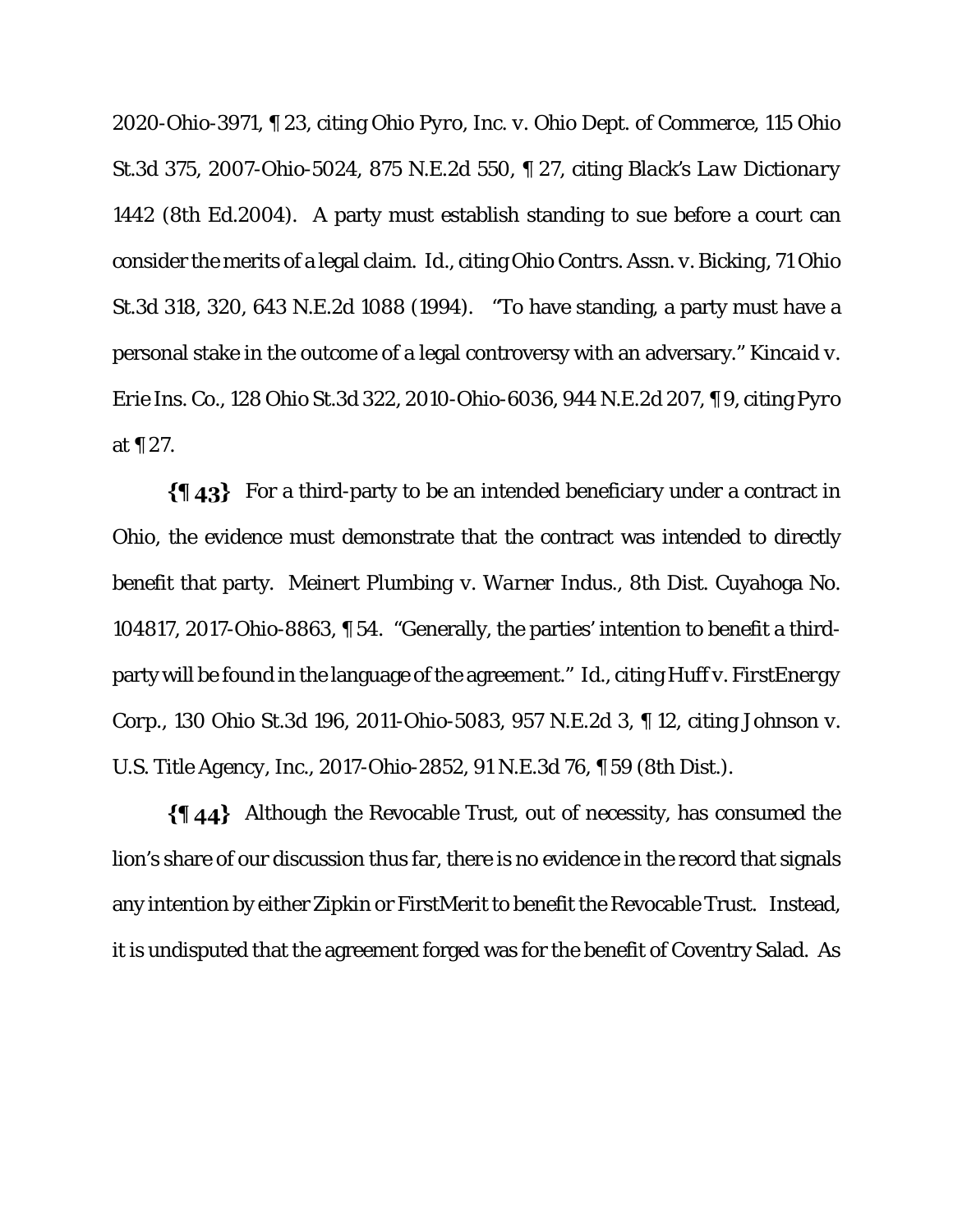2020-Ohio-3971, ¶ 23, citing *Ohio Pyro, Inc. v. Ohio Dept. of Commerce*, 115 Ohio St.3d 375, 2007-Ohio-5024, 875 N.E.2d 550, ¶ 27, citing *Black's Law Dictionary* 1442 (8th Ed.2004). A party must establish standing to sue before a court can consider the merits of a legal claim. *Id.*, citing *Ohio Contrs. Assn. v. Bicking*, 71 Ohio St.3d 318, 320, 643 N.E.2d 1088 (1994). "To have standing, a party must have a personal stake in the outcome of a legal controversy with an adversary." *Kincaid v. Erie Ins. Co.*, 128 Ohio St.3d 322, 2010-Ohio-6036, 944 N.E.2d 207, ¶ 9, citing *Pyro* at ¶ 27.

 $\{\$\;43\}$  For a third-party to be an intended beneficiary under a contract in Ohio, the evidence must demonstrate that the contract was intended to directly benefit that party. *Meinert Plumbing v. Warner Indus*., 8th Dist. Cuyahoga No. 104817, 2017-Ohio-8863, ¶ 54. "Generally, the parties' intention to benefit a thirdparty will be found in the language of the agreement." *Id*., citing *Huff v. FirstEnergy Corp.*, 130 Ohio St.3d 196, 2011-Ohio-5083, 957 N.E.2d 3, ¶ 12, citing *Johnson v. U.S. Title Agency, Inc.*, 2017-Ohio-2852, 91 N.E.3d 76, ¶ 59 (8th Dist.).

 $\{\{\,\,\,\,\,\,\}\$  Although the Revocable Trust, out of necessity, has consumed the lion's share of our discussion thus far, there is no evidence in the record that signals any intention by either Zipkin or FirstMerit to benefit the Revocable Trust. Instead, it is undisputed that the agreement forged was for the benefit of Coventry Salad. As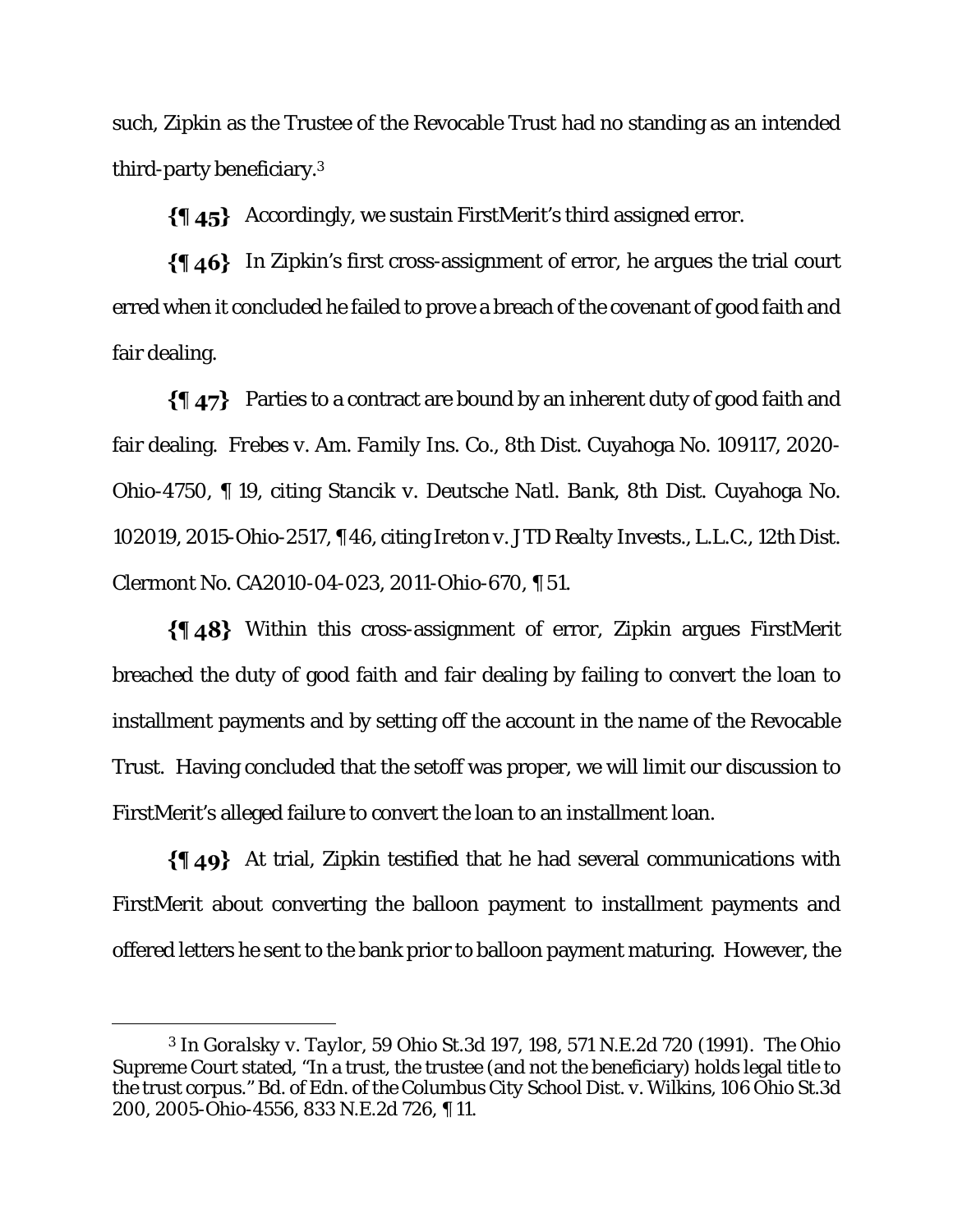such, Zipkin as the Trustee of the Revocable Trust had no standing as an intended third-party beneficiary.3

Accordingly, we sustain FirstMerit's third assigned error.

 $\{\{\,\,\,\,\,\}\$ In Zipkin's first cross-assignment of error, he argues the trial court erred when it concluded he failed to prove a breach of the covenant of good faith and fair dealing.

 $\{\P\$  47} Parties to a contract are bound by an inherent duty of good faith and fair dealing. *Frebes v. Am. Family Ins. Co.*, 8th Dist. Cuyahoga No. 109117, 2020- Ohio-4750, ¶ 19, citing *Stancik v. Deutsche Natl. Bank*, 8th Dist. Cuyahoga No. 102019, 2015-Ohio-2517, ¶ 46, citing *Ireton v. JTD Realty Invests., L.L.C*., 12th Dist. Clermont No. CA2010-04-023, 2011-Ohio-670, ¶ 51.

Within this cross-assignment of error, Zipkin argues FirstMerit breached the duty of good faith and fair dealing by failing to convert the loan to installment payments and by setting off the account in the name of the Revocable Trust. Having concluded that the setoff was proper, we will limit our discussion to FirstMerit's alleged failure to convert the loan to an installment loan.

 $\{\P\$  49} At trial, Zipkin testified that he had several communications with FirstMerit about converting the balloon payment to installment payments and offered letters he sent to the bank prior to balloon payment maturing. However, the

<sup>3</sup> In *Goralsky v. Taylor*, 59 Ohio St.3d 197, 198, 571 N.E.2d 720 (1991). The Ohio Supreme Court stated, "In a trust, the trustee (and not the beneficiary) holds legal title to the trust corpus." *Bd. of Edn. of the Columbus City School Dist. v. Wilkins*, 106 Ohio St.3d 200, 2005-Ohio-4556, 833 N.E.2d 726, ¶ 11.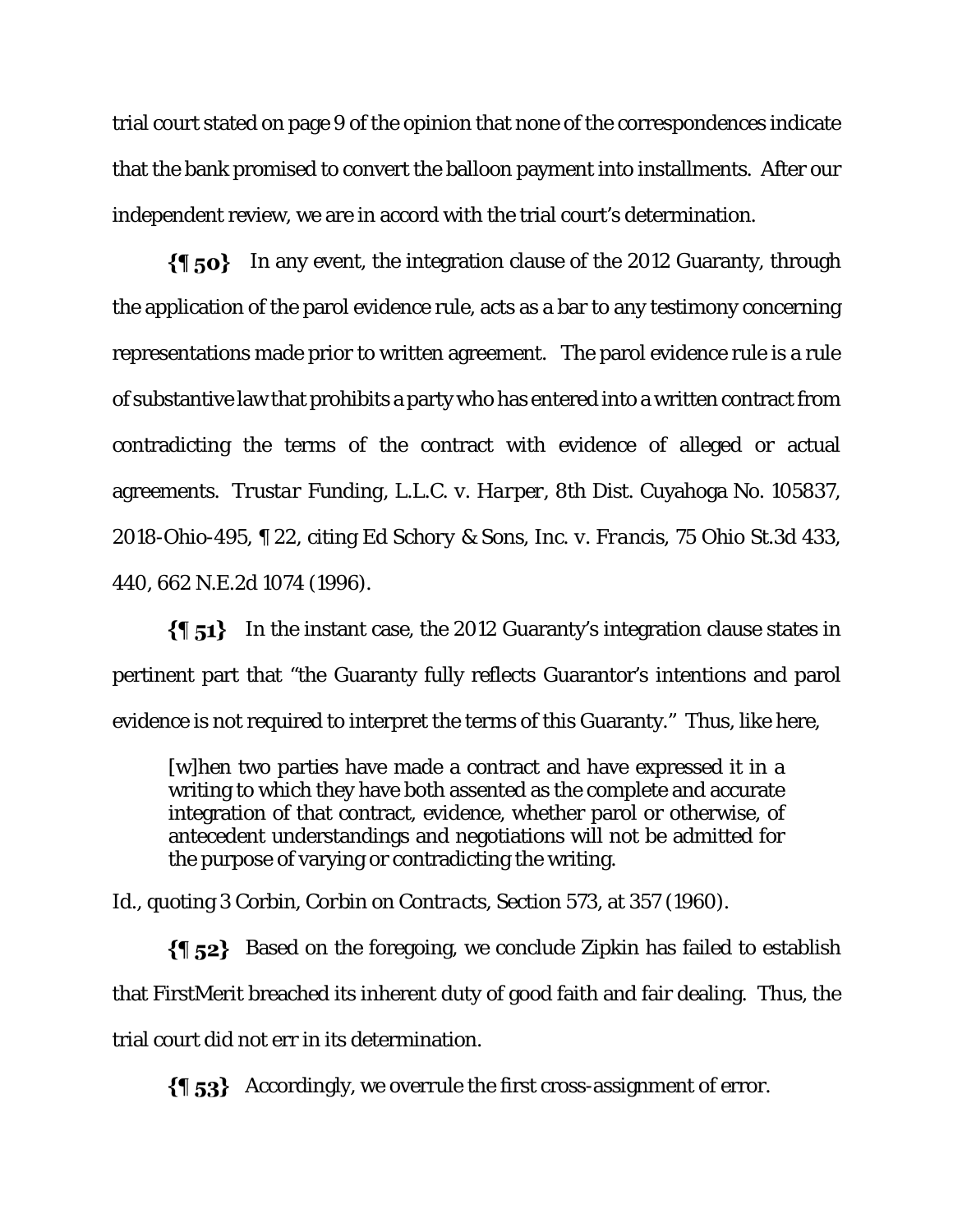trial court stated on page 9 of the opinion that none of the correspondences indicate that the bank promised to convert the balloon payment into installments. After our independent review, we are in accord with the trial court's determination.

 $\{\P\}$  50} In any event, the integration clause of the 2012 Guaranty, through the application of the parol evidence rule, acts as a bar to any testimony concerning representations made prior to written agreement. The parol evidence rule is a rule of substantive law that prohibits a party who has entered into a written contract from contradicting the terms of the contract with evidence of alleged or actual agreements. *Trustar Funding, L.L.C. v. Harper*, 8th Dist. Cuyahoga No. 105837, 2018-Ohio-495, ¶ 22, citing *Ed Schory & Sons, Inc. v. Francis*, 75 Ohio St.3d 433, 440, 662 N.E.2d 1074 (1996).

 $\{\$\,51\}$  In the instant case, the 2012 Guaranty's integration clause states in pertinent part that "the Guaranty fully reflects Guarantor's intentions and parol evidence is not required to interpret the terms of this Guaranty." Thus, like here,

[w]hen two parties have made a contract and have expressed it in a writing to which they have both assented as the complete and accurate integration of that contract, evidence, whether parol or otherwise, of antecedent understandings and negotiations will not be admitted for the purpose of varying or contradicting the writing.

*Id.*, quoting 3 Corbin, *Corbin on Contracts*, Section 573, at 357 (1960).

 $\{\{\,\}$  52} Based on the foregoing, we conclude Zipkin has failed to establish that FirstMerit breached its inherent duty of good faith and fair dealing. Thus, the trial court did not err in its determination.

 $\{\{\}$  53} Accordingly, we overrule the first cross-assignment of error.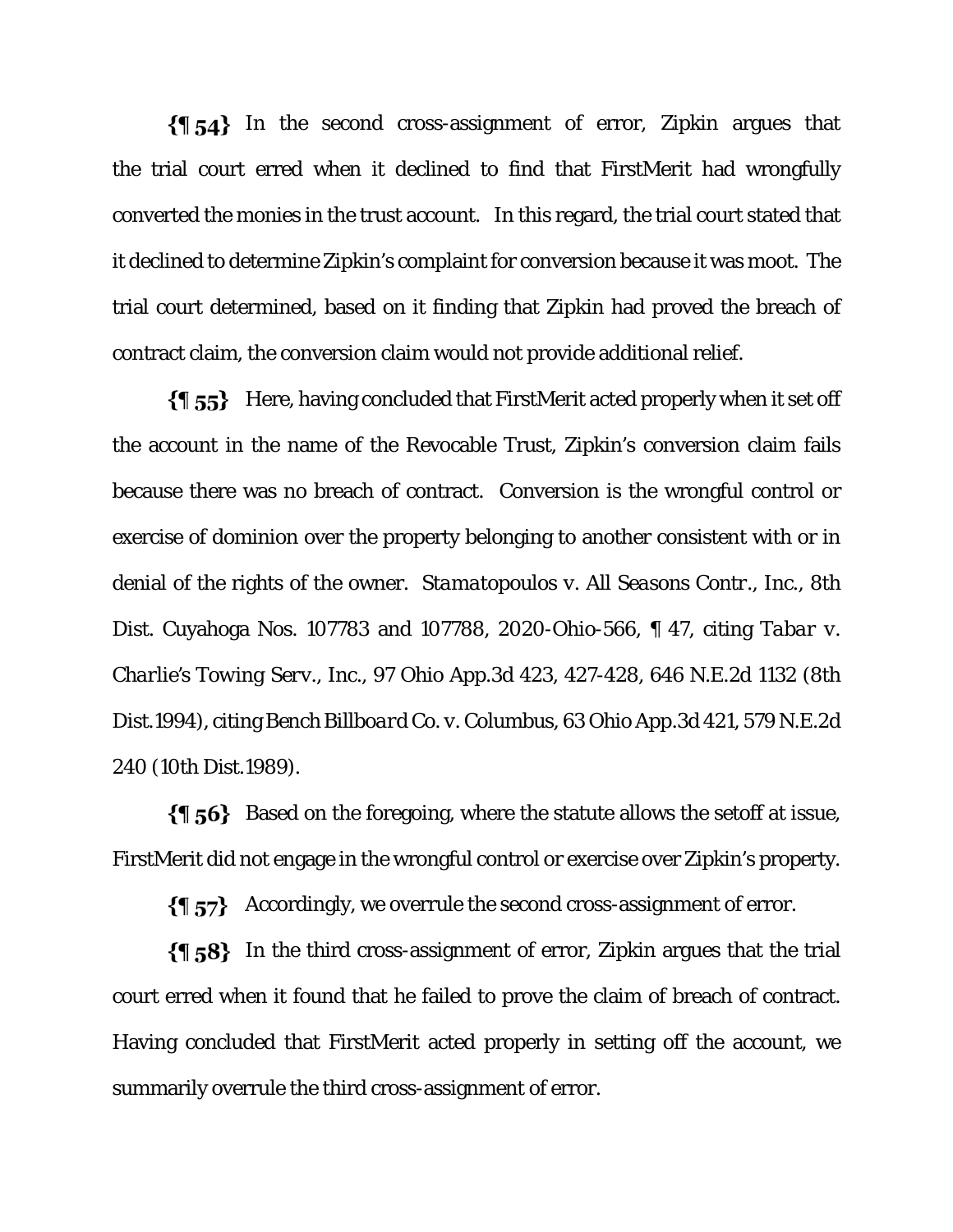$\{\{\}$  54} In the second cross-assignment of error, Zipkin argues that the trial court erred when it declined to find that FirstMerit had wrongfully converted the monies in the trust account. In this regard, the trial court stated that it declined to determine Zipkin's complaint for conversion because it was moot. The trial court determined, based on it finding that Zipkin had proved the breach of contract claim, the conversion claim would not provide additional relief.

 $\{\{\}$  55} Here, having concluded that FirstMerit acted properly when it set off the account in the name of the Revocable Trust, Zipkin's conversion claim fails because there was no breach of contract. Conversion is the wrongful control or exercise of dominion over the property belonging to another consistent with or in denial of the rights of the owner. *Stamatopoulos v. All Seasons Contr., Inc.*, 8th Dist. Cuyahoga Nos. 107783 and 107788, 2020-Ohio-566, ¶ 47, citing *Tabar v. Charlie's Towing Serv., Inc.*, 97 Ohio App.3d 423, 427-428, 646 N.E.2d 1132 (8th Dist.1994), citing *Bench Billboard Co. v. Columbus*, 63 Ohio App.3d 421, 579 N.E.2d 240 (10th Dist.1989).

Based on the foregoing, where the statute allows the setoff at issue, FirstMerit did not engage in the wrongful control or exercise over Zipkin's property.

 $\{\P\}$  Accordingly, we overrule the second cross-assignment of error.

 $\{\{\,\}$  58} In the third cross-assignment of error, Zipkin argues that the trial court erred when it found that he failed to prove the claim of breach of contract. Having concluded that FirstMerit acted properly in setting off the account, we summarily overrule the third cross-assignment of error.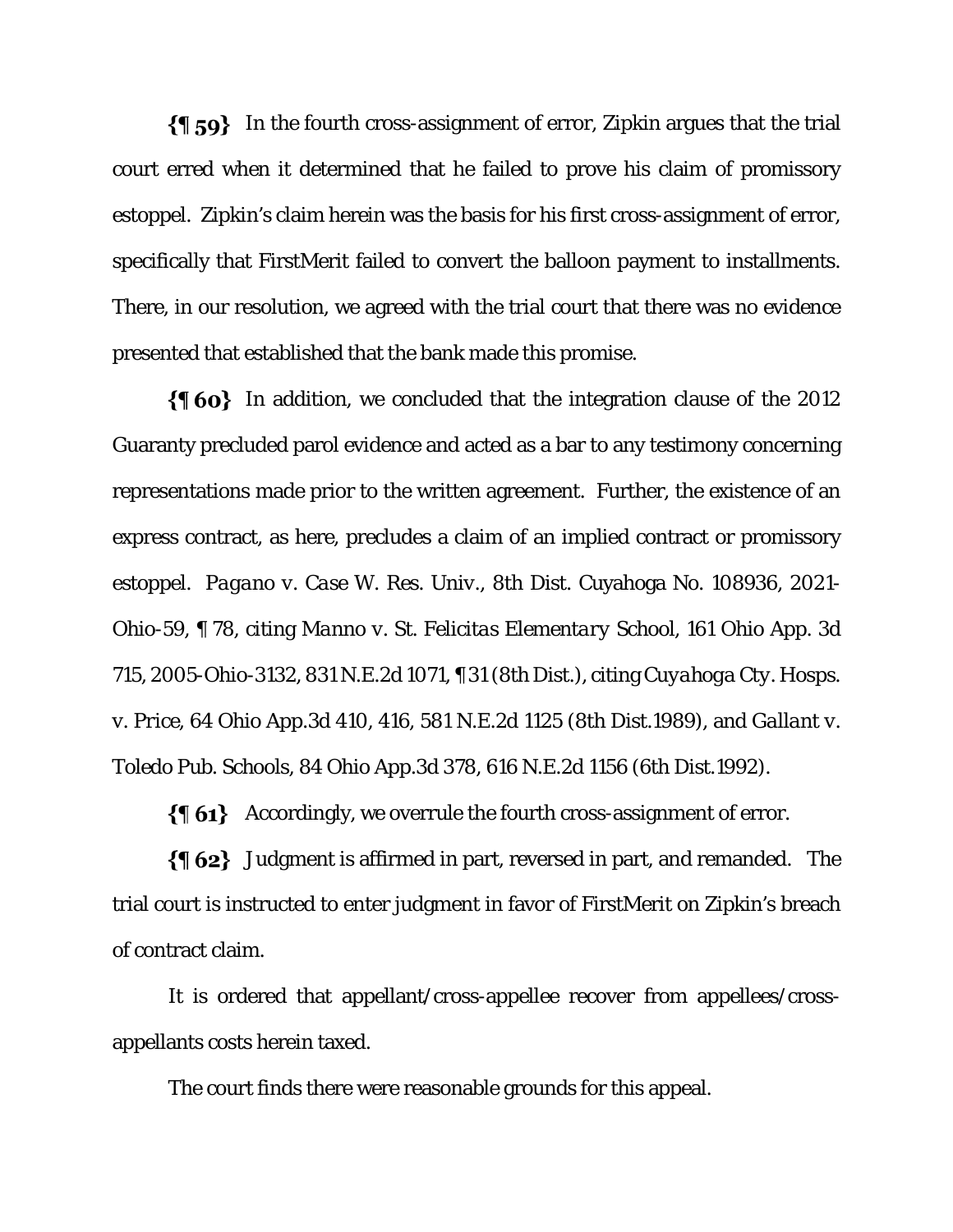$\{\P\}$  59} In the fourth cross-assignment of error, Zipkin argues that the trial court erred when it determined that he failed to prove his claim of promissory estoppel. Zipkin's claim herein was the basis for his first cross-assignment of error, specifically that FirstMerit failed to convert the balloon payment to installments. There, in our resolution, we agreed with the trial court that there was no evidence presented that established that the bank made this promise.

 $\{\{\,\,\phi\}\,\}$  In addition, we concluded that the integration clause of the 2012 Guaranty precluded parol evidence and acted as a bar to any testimony concerning representations made prior to the written agreement. Further, the existence of an express contract, as here, precludes a claim of an implied contract or promissory estoppel. *Pagano v. Case W. Res. Univ.*, 8th Dist. Cuyahoga No. 108936, 2021- Ohio-59, ¶ 78, citing *Manno v. St. Felicitas Elementary School*, 161 Ohio App. 3d 715, 2005-Ohio-3132, 831 N.E.2d 1071, ¶ 31 (8th Dist.), citing *Cuyahoga Cty. Hosps. v. Price*, 64 Ohio App.3d 410, 416, 581 N.E.2d 1125 (8th Dist.1989), and *Gallant v. Toledo Pub. Schools*, 84 Ohio App.3d 378, 616 N.E.2d 1156 (6th Dist.1992).

 $\{ \phi_1 \}$  Accordingly, we overrule the fourth cross-assignment of error.

 $\{\$\,62\}$  Judgment is affirmed in part, reversed in part, and remanded. The trial court is instructed to enter judgment in favor of FirstMerit on Zipkin's breach of contract claim.

It is ordered that appellant/cross-appellee recover from appellees/crossappellants costs herein taxed.

The court finds there were reasonable grounds for this appeal.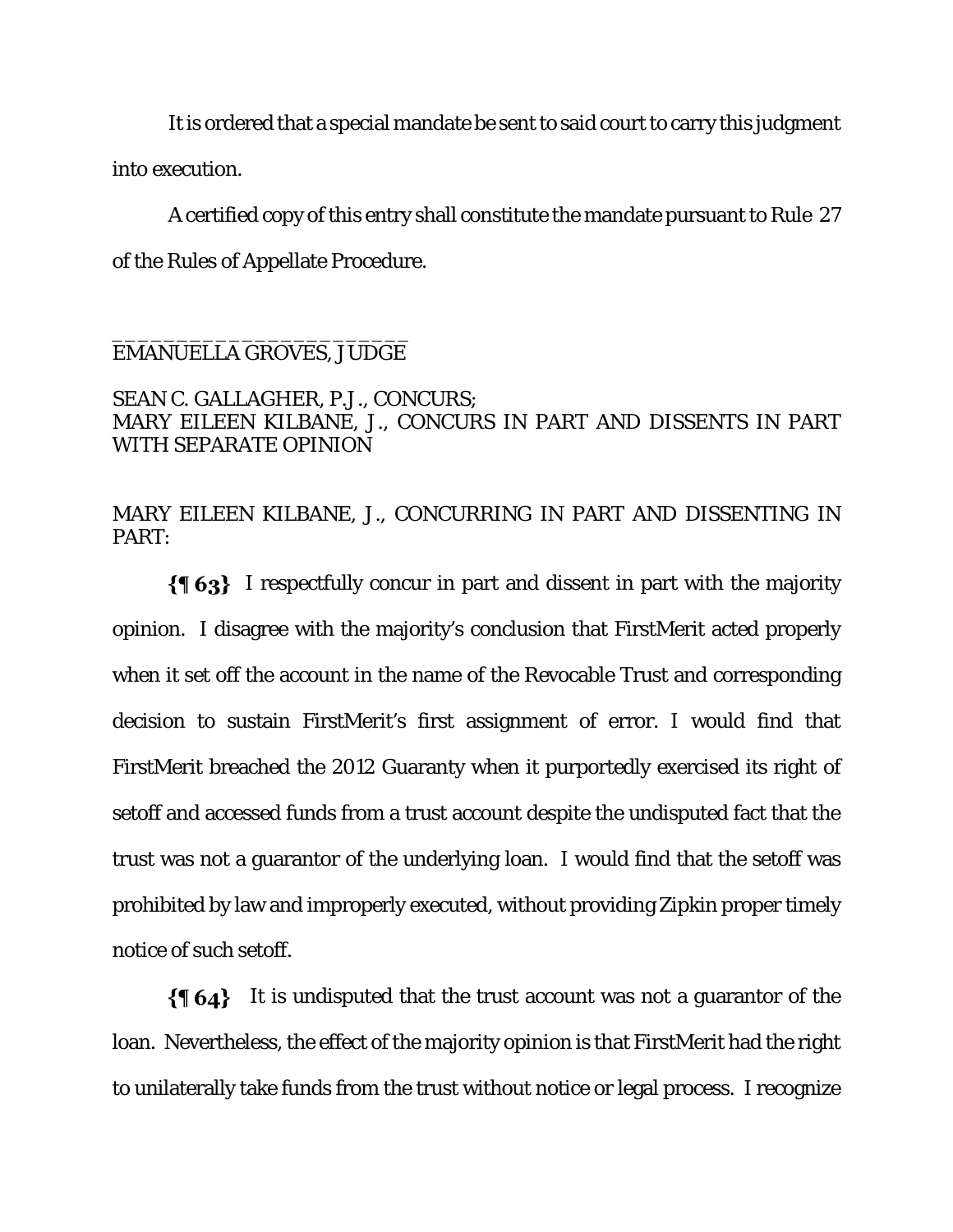It is ordered that a special mandate be sent to said court to carry this judgment into execution.

A certified copy of this entry shall constitute the mandate pursuant to Rule 27 of the Rules of Appellate Procedure.

#### \_\_\_\_\_\_\_\_\_\_\_\_\_\_\_\_\_\_\_\_\_\_\_ EMANUELLA GROVES, JUDGE

### SEAN C. GALLAGHER, P.J., CONCURS; MARY EILEEN KILBANE, J., CONCURS IN PART AND DISSENTS IN PART WITH SEPARATE OPINION

MARY EILEEN KILBANE, J., CONCURRING IN PART AND DISSENTING IN PART:

 $\{\{\,\,\}\,\,63\}$  I respectfully concur in part and dissent in part with the majority opinion. I disagree with the majority's conclusion that FirstMerit acted properly when it set off the account in the name of the Revocable Trust and corresponding decision to sustain FirstMerit's first assignment of error. I would find that FirstMerit breached the 2012 Guaranty when it purportedly exercised its right of setoff and accessed funds from a trust account despite the undisputed fact that the trust was not a guarantor of the underlying loan. I would find that the setoff was prohibited by law and improperly executed, without providing Zipkin proper timely notice of such setoff.

 $\{\{\,\,\phi_4\}\,\;$  It is undisputed that the trust account was not a guarantor of the loan. Nevertheless, the effect of the majority opinion is that FirstMerit had the right to unilaterally take funds from the trust without notice or legal process. I recognize